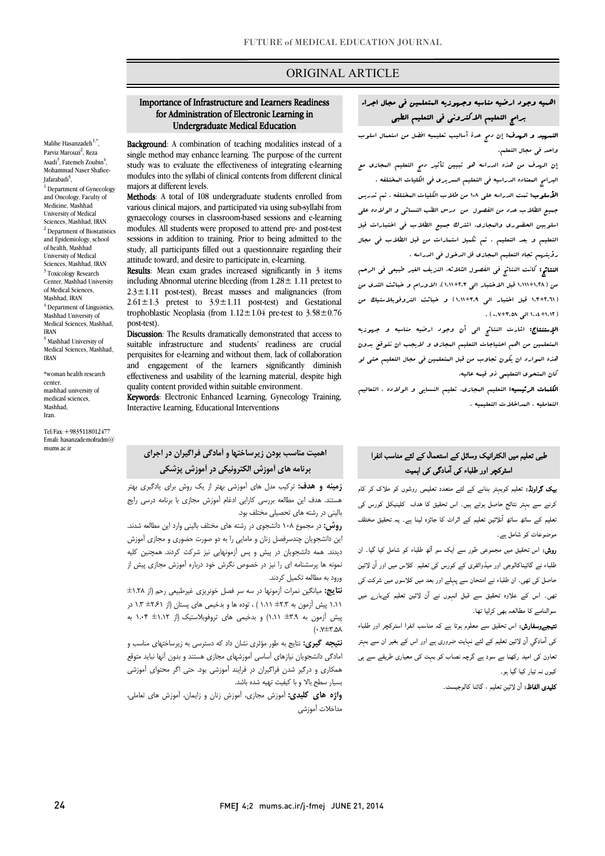## ORIGINAL ARTICLE

### for Administration of Electronic Learning in **Undergraduate Medical Education** Importance of Infrastructure and Learners Readiness

Ī

Background: A combination of teaching modalities instead of a single method may enhance learning. The purpose of the current study was to evaluate the effectiveness of integrating e-learning modules into the syllabi of clinical contents from different clinical<br>majors at different levels majors at different levels.

Methods: A total of 108 undergraduate students enrolled from various clinical majors, and participated via using sub-syllabi from modules. All students were proposed to attend pre- and post-test sessions in addition to training. Prior to being admitted to the attitude toward, and desire to participate in, e-learning. gynaecology courses in classroom-based sessions and e-learning study, all participants filled out a questionnaire regarding their

Results: Mean exam grades increased significantly in 3 items including Abnormal uterine bleeding (from  $1.28 \pm 1.11$  pretest to  $2.61 \pm 1.3$  pretest to  $3.9 \pm 1.11$  post-test) and Gestational trophoblastic Neoplasia (from  $1.12 \pm 1.04$  pre-test to  $3.58 \pm 0.76$  $2.3 \pm 1.11$  post-test), Breast masses and malignancies (from post-test).

posetest).<br>**Discussion**: The Results dramatically demonstrated that access to suitable infrastructure and students' readiness are crucial perquisites for e-learning and without them, lack of collaboration effectiveness and usability of the learning material, despite high quality content provided within suitable environment. and engagement of the learners significantly diminish

**Exercises** Electronic Emianced Learning, Gy<br>Interactive Learning, Educational Interventions Keywords: Electronic Enhanced Learning, Gynecology Training,

# اهمیت مناسب بودن زیرساختها و آمادگی فراگیران در اجراي برنامه هاي آموزش الکترونیکی در آموزش پزشکی

 زمینه و هدف: ترکیب مدل هاي آموزشی بهتر از یک روش براي یادگیري بهتر هستند. هدف این مطالعه بررسی کارایی ادغام آموزش مجازي با برنامه درسی رایج بالینی در رشته هاي تحصیلی مختلف بود.

بسی در رست سی - سسیعی ... سبب بود.<br>**روش:** در مجموع ۱۰۸ دانشجوی در رشته های مختلف بالینی وارد این مطالعه شدند. این دانشجویان چندسرفصل زنان و مامایی را به دو صورت حضوري و مجازي آموزش دیدند. همه دانشجویان در پیش و پس آزمونهایی نیز شرکت کردند. همچنین کلیه نمونه ها پرسشنامه اي را نیز در خصوص نگرش خود درباره آموزش مجازي پیش از ورود به مطالعه تکمیل کردند.

 نتایج: میانگین نمرات آزمونها در سه سر فصل خونریزي غیرطبیعی رحم (از ±1.28 1.11 پیش آزمون به ±2.3 1.11 ) ، توده ها و بدخیمی هاي پستان (از ±2.61 1.3 در پیش آزمون به ±3.9 1.11) و بدخیمی هاي تروفوبلاستیک (از ±1.12 1.04 به  $(\cdot 7 \pm 7.5)$ 

...............<br>**نتیجه گیری:** نتایج به طور مؤثری نشان داد که دسترسی به زیرساختهای مناسب و امادگی دانشجویان نیازهاي أساسی آموزشهاي مجازي هستند و بدون آنها نباید متوقع همکاري و درگیر شدن فراگیران در فرایند آموزشی بود. حتی اگر محتواي آموزشی بسیار سطح بالا و با کیفیت تهیه شده باشد.

 واژه هاي کلیدي: آموزش مجازي، آموزش زنان و زایمان، آموزش هاي تعاملی، مداخلات آموزشی

# اهمیه وجود ارضیه مناسبه وجهوزیه المتعلمین فی مجال اجراء برامج التعلیم الاکترونی فی التعلیم الطبی

Ī

 التمهید و الهدف: إن دمج عدة أسالیب تعلیمیه افضل من استعمال اسلوب Education Medical Undergraduate واحد فی مجال التعلم.

> إن الهدف من هذه الدراسه هو تبیین تأثیر دمج التعلیم المجازي مع البرامج المعتاده الدراسیه فی التعلیم السریري فی الکلیات المختلفه .

> الأسلوب: تمت الدراسه علی 108 من طلاب الکلیات المختلفه . تم تدریس جمیع الطلاب عدد من الفصول من درس الطب النسائی و الولاده علی اسلوبین الحضوري والمجازي. اشترك جمیع الطلاب فی اختبارات قبل التعلیم و بعد التعلیم . تم تکمیل استمارات من قبل الطلاب فی مجال رؤیتهم تجاه التعلیم المجازي قل الدخول فی الدراسه .

> النتائج: کانت النتائج فی الفصول الثلاثه، النزیف الغیر طبیعی فی الرحم من (1.111+1.28 قبل الاختبار الی 1.11+2.3)، الاورام و خبائث الثدي من (1.3+2.61 قبل اختبار الی 1.11+3.9) و خبائث التروفوبلاستیک من (1.04+1.12 الی 0.7+3.58) .

> الإستنتاج: اشارت النتائج الی أن وجود ارضیه مناسبه و جهوزیه المتعلمین من اهم احتیاجات التعلیم المجازي و لایجب ان نتوقع بدون هذه الموارد ان یکون تجاوب من قبل المتعلمین فی مجال التعلیم حتی لو کان المتحوي التعلیمی ذو قیمه عالیه.

> الکلمات الرئیسیه: التعلیم المجازي، تعلیم النسایی و الولاده ، التعالیم التعاملیه ، المداخلات التعلیمیه .

## طبی تعلیم میں الکٹرانیک وسائل کے استعمال کے لئے مناسب انفرا اسٹرکچر اور طلباء کی <mark>آمادگی کی ا</mark>ہمیت<br>۔

**یپک گراونڈ:** تعلیم کوبہتر بنانے کے لئے متعدد تعلیمی روشوں کو ملاک کر کام کرنے سے بہتر نتائج حاصل ہوتے ہیں۔ اس تحقیق کا ہدف کلینیکل کورس کی نعلیم کے ساتھ ساتھ آنلائین تعلیم کے اثرات کا جائزہ لینا ہے۔ یہ تحقیق مختلف موضوعات کو شامل ہے۔

**روش:** اس تحقیق میں مجموعی طور سے ایک سو آٹھ طلباء کو شامل کیا گیا۔ ان طلباء نے گائیناکالوجی اور میڈوائفری کے کورس کی تعلیم کلاس میں اور آن لائین ۔<br>حاصل کی تھی۔ ان طلباء نے امتحان سے پہلے اور بعد میں کلاسوں میں شرکت کی ۔<br>بھی۔ اس کے علاوہ تحقیق سے قبل انہوں نے آن لائین تعلیم کےبارے میں سوالنامے کا مطالعہ بھی کرلیا تھا۔

**نتیجےوسفارش:** اس تحقیق سے معلوم ہوتا ہے کہ مناسب انفرا اسٹرکچر اور طلباء ۔<br>کی آمادگي آن لائين تعليم کے لئے نہايت ضروری ہے اور اس کے بغير ان سے بہتر ۔<br>نعاون کی امید رکھنا بے سود ہے گرچہ نصاب کو بہت کی معیاری طریقے سے ہی <sub>کیوں</sub> نہ تیار کیا گیا ہو۔

**دلیدی الفاظ:** آن لائین تعلیم ، گائنا کالوجیسٹ۔ ٦

Malihe Hasanzadeh<sup>1,\*</sup>, Parviz Marouzi<sup>2</sup>, Reza Asadi<sup>3</sup>, Fatemeh Zoubin<sup>4</sup>, Mohammad Naser Shafiee-

 $1$  Department of Gynecology and Oncology, Faculty of Medicine, Mashhad University of Medical Sciences, Mashhad, IRAN <sup>2</sup> Department of Biostatistics and Epidemiology, school of health, Mashhad University of Medical Sciences, Mashhad, IRAN <sup>3</sup> Toxicology Research Center, Mashhad University of Medical Sciences, Mashhad, IRAN  $4$  Department of Linguistics Mashhad University of Medical Sciences, Mashhad,

Jafarabadi<sup>5</sup>,

IRAN

IRAN

center,

mums.ac.ir

<sup>5</sup> Mashhad University of Medical Sciences, Mashhad,

\*woman health research

mashhad university of medicasl sciences, Mashhad, Iran.

Tel/Fax:+9835118012477 Emali: hasanzademofradm@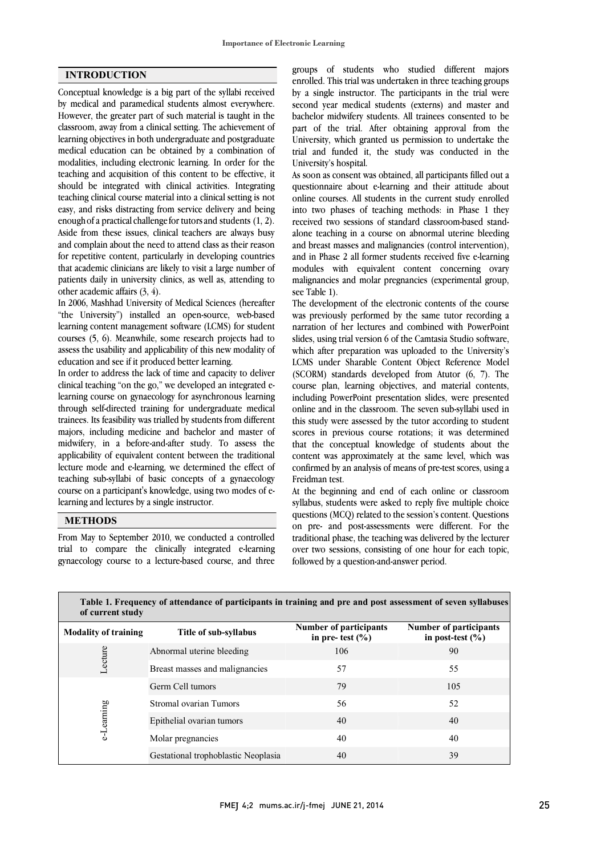## INTRODUCTION

Conceptual knowledge is a big part of the syllabi received by medical and paramedical students almost everywhere. However, the greater part of such material is taught in the classroom, away from a clinical setting. The achievement of learning objectives in both undergraduate and postgraduate medical education can be obtained by a combination of modalities, including electronic learning. In order for the teaching and acquisition of this content to be effective, it should be integrated with clinical activities. Integrating teaching clinical course material into a clinical setting is not easy, and risks distracting from service delivery and being enough of a practical challenge for tutors and students (1, 2). Aside from these issues, clinical teachers are always busy and complain about the need to attend class as their reason for repetitive content, particularly in developing countries that academic clinicians are likely to visit a large number of patients daily in university clinics, as well as, attending to other academic affairs (3, 4).

In 2006, Mashhad University of Medical Sciences (hereafter "the University") installed an open-source, web-based learning content management software (LCMS) for student courses (5, 6). Meanwhile, some research projects had to assess the usability and applicability of this new modality of education and see if it produced better learning.

In order to address the lack of time and capacity to deliver clinical teaching "on the go," we developed an integrated elearning course on gynaecology for asynchronous learning through self-directed training for undergraduate medical trainees. Its feasibility was trialled by students from different majors, including medicine and bachelor and master of midwifery, in a before-and-after study. To assess the applicability of equivalent content between the traditional lecture mode and e-learning, we determined the effect of teaching sub-syllabi of basic concepts of a gynaecology course on a participant's knowledge, using two modes of elearning and lectures by a single instructor.

## **METHODS**

From May to September 2010, we conducted a controlled trial to compare the clinically integrated e-learning gynaecology course to a lecture-based course, and three

 groups of students who studied different majors enrolled. This trial was undertaken in three teaching groups by a single instructor. The participants in the trial were second year medical students (externs) and master and part of the trial. After obtaining approval from the University, which granted us permission to undertake the trial and funded it, the study was conducted in the University's hospital. bachelor midwifery students. All trainees consented to be

 questionnaire about e-learning and their attitude about online courses. All students in the current study enrolled into two phases of teaching methods: in Phase 1 they received two sessions of standard classroom-based standand breast masses and malignancies (control intervention), and in Phase 2 all former students received five e-learning modules with equivalent content concerning ovary malignancies and molar pregnancies (experimental group, As soon as consent was obtained, all participants filled out a alone teaching in a course on abnormal uterine bleeding see Table 1).

The development of the electronic contents of the course was previously performed by the same tutor recording a narration of her lectures and combined with PowerPoint slides, using trial version 6 of the Camtasia Studio software, LCMS under Sharable Content Object Reference Model (SCORM) standards developed from Atutor (6, 7). The course plan, learning objectives, and material contents, including PowerPoint presentation slides, were presented this study were assessed by the tutor according to student scores in previous course rotations; it was determined that the conceptual knowledge of students about the content was approximately at the same level, which was Freidman test. which after preparation was uploaded to the University's online and in the classroom. The seven sub-syllabi used in confirmed by an analysis of means of pre-test scores, using a

 At the beginning and end of each online or classroom syllabus, students were asked to reply five multiple choice questions (MCQ) related to the session's content. Questions traditional phase, the teaching was delivered by the lecturer over two sessions, consisting of one hour for each topic, followed by a question-and-answer period. on pre- and post-assessments were different. For the

| of current study            |                                     |                                                       |                                                       |
|-----------------------------|-------------------------------------|-------------------------------------------------------|-------------------------------------------------------|
| <b>Modality of training</b> | Title of sub-syllabus               | <b>Number of participants</b><br>in pre- test $(\% )$ | <b>Number of participants</b><br>in post-test $(\% )$ |
| Lecture                     | Abnormal uterine bleeding           | 106                                                   | 90                                                    |
|                             | Breast masses and malignancies      | 57                                                    | 55                                                    |
| e-Learning                  | Germ Cell tumors                    | 79                                                    | 105                                                   |
|                             | Stromal ovarian Tumors              | 56                                                    | 52                                                    |
|                             | Epithelial ovarian tumors           | 40                                                    | 40                                                    |
|                             | Molar pregnancies                   | 40                                                    | 40                                                    |
|                             | Gestational trophoblastic Neoplasia | 40                                                    | 39                                                    |
|                             |                                     |                                                       |                                                       |

 $\overline{a}$ Table 1. Frequency of attendance of participants in training and pre and post assessment of seven syllabuses of current study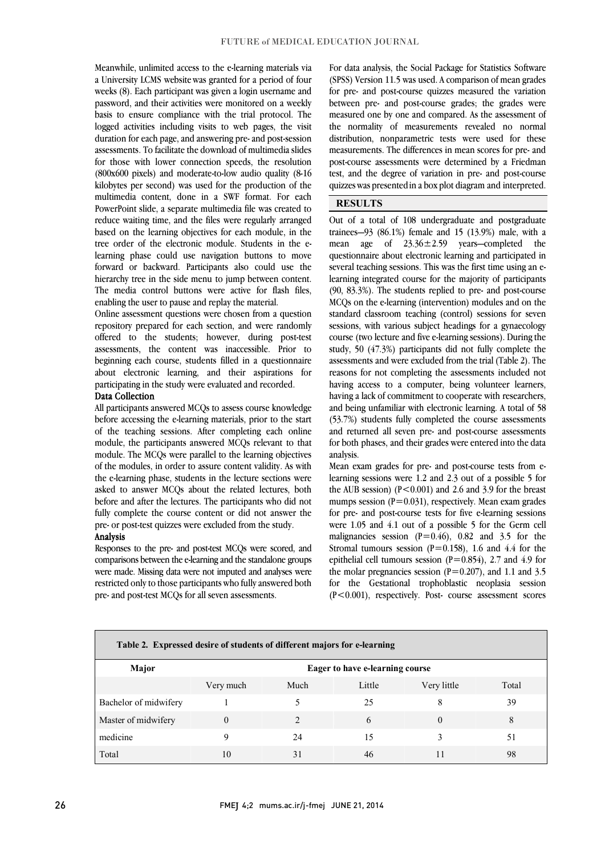Meanwhile, unlimited access to the e-learning materials via a University LCMS websitewas granted for a period of four weeks (8). Each participant was given a login username and password, and their activities were momitored on a weekly<br>basis to ensure compliance with the trial protocol. The logged activities including visits to web pages, the visit duration for each page, and answering pre-and post-session assessments. To facilitate the download of multimedia slides for those with lower connection speeds, the resolution kilobytes per second) was used for the production of the multimedia content, done in a SWF format. For each PowerPoint slide, a separate multimedia file was created to based on the learning objectives for each module, in the tree order of the electronic module. Students in the e- learning phase could use navigation buttons to move forward or backward. Participants also could use the hierarchy tree in the side menu to jump between content. enabling the user to pause and replay the material. password, and their activities were monitored on a weekly (800x600 pixels) and moderate-to-low audio quality (8-16 reduce waiting time, and the files were regularly arranged The media control buttons were active for flash files,

 Online assessment questions were chosen from a question repository prepared for each section, and were randomly offered to the students; however, during post-test beginning each course, students filled in a questionnaire about electronic learning, and their aspirations for participating in the study were evaluated and recorded. assessments, the content was inaccessible. Prior to

### Data Collection

 All participants answered MCQs to assess course knowledge before accessing the e-learning materials, prior to the start of the teaching sessions. After completing each online module, the participants answered MCQs relevant to that module. The MCQs were parallel to the learning objectives the e-learning phase, students in the lecture sections were asked to answer MCQs about the related lectures, both before and after the lectures. The participants who did not pre- or post-test quizzes were excluded from the study. of the modules, in order to assure content validity. As with fully complete the course content or did not answer the

#### Analysis

 Responses to the pre- and post-test MCQs were scored, and comparisons between the e-learning and the standalone groups restricted only to those participants who fully answered both pre- and post-test MCQs for all seven assessments. were made. Missing data were not imputed and analyses were

 For data analysis, the Social Package for Statistics Software (SPSS) Version 11.5 was used. A comparison of mean grades for pre- and post-course quizzes measured the variation between pre- and post-course grades; the grades were the normality of measurements revealed no normal distribution, nonparametric tests were used for these measurements. The differences in mean scores for pre- and post-course assessments were determined by a Friedman quizzes was presented in a box plot diagram and interpreted. measured one by one and compared. As the assessment of test, and the degree of variation in pre- and post-course

> j  $\overline{a}$

#### **RESULTS**

 trainees—93 (86.1%) female and 15 (13.9%) male, with a mean age of  $23.36 \pm 2.59$  years—completed the questionnaire about electronic learning and participated in several teaching sessions. This was the first time using an e- learning integrated course for the majority of participants MCQs on the e-learning (intervention) modules and on the standard classroom teaching (control) sessions for seven sessions, with various subject headings for a gynaecology study, 50 (47.3%) participants did not fully complete the assessments and were excluded from the trial (Table 2). The reasons for not completing the assessments included not having access to a computer, being volunteer learners, and being unfamiliar with electronic learning. A total of 58 (53.7%) students fully completed the course assessments and returned all seven pre- and post-course assessments for both phases, and their grades were entered into the data Out of a total of 108 undergraduate and postgraduate (90, 83.3%). The students replied to pre- and post-course course (two lecture and five e-learning sessions). During the having a lack of commitment to cooperate with researchers, analysis.

 Mean exam grades for pre- and post-course tests from e- learning sessions were 1.2 and 2.3 out of a possible 5 for the AUB session)  $(P<0.001)$  and 2.6 and 3.9 for the breast mumps session  $(P=0.031)$ , respectively. Mean exam grades were 1.05 and 4.1 out of a possible 5 for the Germ cell malignancies session ( $P=0.46$ ), 0.82 and 3.5 for the Stromal tumours session ( $P=0.158$ ), 1.6 and 4.4 for the epithelial cell tumours session  $(P=0.854)$ , 2.7 and 4.9 for for the Gestational trophoblastic neoplasia session (P<0.001), respectively. Post- course assessment scores for pre- and post-course tests for five e-learning sessions the molar pregnancies session ( $P=0.207$ ), and 1.1 and 3.5

| Table 2. Expressed desire of students of different majors for e-learning |                                 |      |        |             |       |  |  |
|--------------------------------------------------------------------------|---------------------------------|------|--------|-------------|-------|--|--|
| Major                                                                    | Eager to have e-learning course |      |        |             |       |  |  |
|                                                                          | Very much                       | Much | Little | Very little | Total |  |  |
| Bachelor of midwifery                                                    |                                 |      | 25     | 8           | 39    |  |  |
| Master of midwifery                                                      | $\theta$                        |      | 6      | $\Omega$    | 8     |  |  |
| medicine                                                                 | Q                               | 24   | 15     |             | 51    |  |  |
| Total                                                                    | 10                              | 31   | 46     |             | 98    |  |  |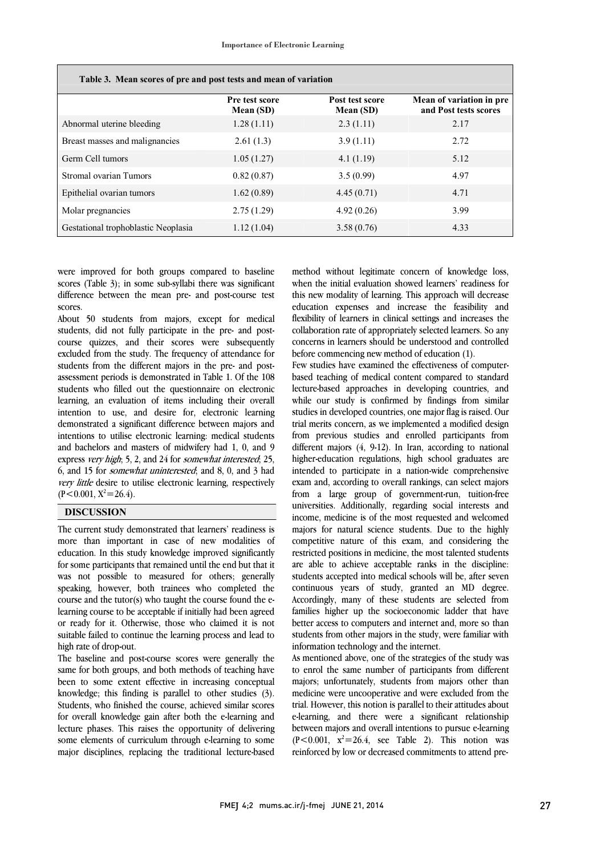| Table 3. Mean scores of pre and post tests and mean of variation |                                    |                              |                                                   |  |  |  |  |
|------------------------------------------------------------------|------------------------------------|------------------------------|---------------------------------------------------|--|--|--|--|
|                                                                  | <b>Pre test score</b><br>Mean (SD) | Post test score<br>Mean (SD) | Mean of variation in pre<br>and Post tests scores |  |  |  |  |
| Abnormal uterine bleeding                                        | 1.28(1.11)                         | 2.3(1.11)                    | 2.17                                              |  |  |  |  |
| Breast masses and malignancies                                   | 2.61(1.3)                          | 3.9(1.11)                    | 2.72                                              |  |  |  |  |
| Germ Cell tumors                                                 | 1.05(1.27)                         | 4.1(1.19)                    | 5.12                                              |  |  |  |  |
| Stromal ovarian Tumors                                           | 0.82(0.87)                         | 3.5(0.99)                    | 4.97                                              |  |  |  |  |
| Epithelial ovarian tumors                                        | 1.62(0.89)                         | 4.45(0.71)                   | 4.71                                              |  |  |  |  |
| Molar pregnancies                                                | 2.75(1.29)                         | 4.92(0.26)                   | 3.99                                              |  |  |  |  |
| Gestational trophoblastic Neoplasia                              | 1.12(1.04)                         | 3.58(0.76)                   | 4.33                                              |  |  |  |  |

were improved for both groups compared to baseline scores (Table 3); in some sub-syllabi there was significant difference between the mean pre- and post-course test scores.

About 50 students from majors, except for medical students, did not fully participate in the pre- and postcourse quizzes, and their scores were subsequently excluded from the study. The frequency of attendance for students from the different majors in the pre- and postassessment periods is demonstrated in Table 1. Of the 108 students who filled out the questionnaire on electronic learning, an evaluation of items including their overall intention to use, and desire for, electronic learning demonstrated a significant difference between majors and intentions to utilise electronic learning: medical students and bachelors and masters of midwifery had 1, 0, and 9 express very high; 5, 2, and 24 for somewhat interested; 25, 6, and 15 for somewhat uninterested; and 8, 0, and 3 had very little desire to utilise electronic learning, respectively  $(P< 0.001, X^2 = 26.4)$ .

## DISCUSSION

The current study demonstrated that learners' readiness is more than important in case of new modalities of education. In this study knowledge improved significantly for some participants that remained until the end but that it was not possible to measured for others; generally speaking, however, both trainees who completed the course and the tutor(s) who taught the course found the elearning course to be acceptable if initially had been agreed or ready for it. Otherwise, those who claimed it is not suitable failed to continue the learning process and lead to high rate of drop-out.

The baseline and post-course scores were generally the same for both groups, and both methods of teaching have been to some extent effective in increasing conceptual knowledge; this finding is parallel to other studies (3). Students, who finished the course, achieved similar scores for overall knowledge gain after both the e-learning and lecture phases. This raises the opportunity of delivering some elements of curriculum through e-learning to some major disciplines, replacing the traditional lecture-based

 method without legitimate concern of knowledge loss, when the initial evaluation showed learners' readiness for this new modality of learning. This approach will decrease flexibility of learners in clinical settings and increases the collaboration rate of appropriately selected learners. So any concerns in learners should be understood and controlled before commencing new method of education (1). education expenses and increase the feasibility and

 based teaching of medical content compared to standard lecture-based approaches in developing countries, and while our study is confirmed by findings from similar studies in developed countries, one major flag is raised. Our from previous studies and enrolled participants from different majors (4, 9-12). In Iran, according to national higher-education regulations, high school graduates are intended to participate in a nation-wide comprehensive from a large group of government-run, tuition-free universities. Additionally, regarding social interests and income, medicine is of the most requested and welcomed majors for natural science students. Due to the highly restricted positions in medicine, the most talented students are able to achieve acceptable ranks in the discipline: students accepted into medical schools will be, after seven continuous years of study, granted an MD degree. families higher up the socioeconomic ladder that have better access to computers and internet and, more so than students from other majors in the study, were familiar with information technology and the internet. Few studies have examined the effectiveness of computertrial merits concern, as we implemented a modified design exam and, according to overall rankings, can select majors competitive nature of this exam, and considering the Accordingly, many of these students are selected from

 to enrol the same number of participants from different majors; unfortunately, students from majors other than medicine were uncooperative and were excluded from the e-learning, and there were a significant relationship between majors and overall intentions to pursue e-learning  $(P<0.001, x^2=26.4, \text{ see Table 2}).$  This notion was reinforced by low or decreased commitments to attend pre-As mentioned above, one of the strategies of the study was trial. However, this notion is parallel to their attitudes about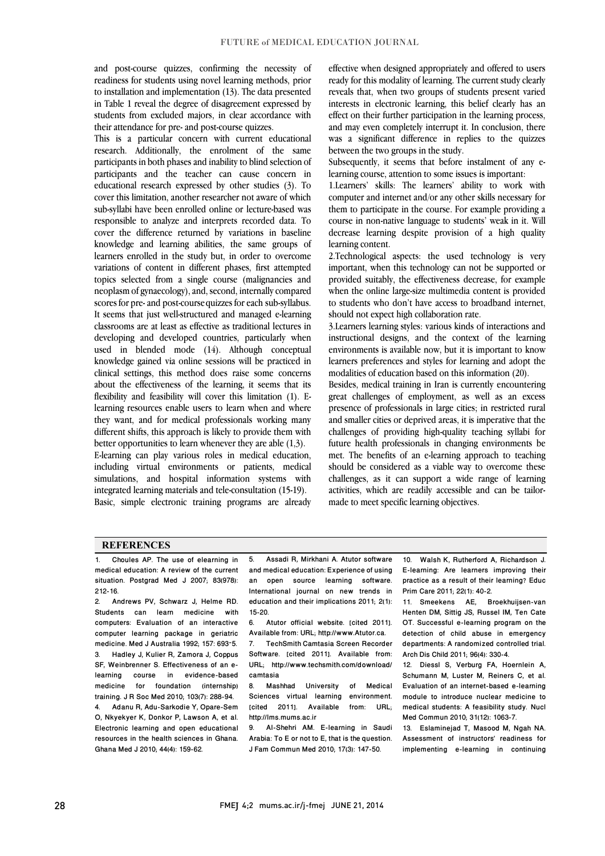and post-course quizzes, confirming the necessity of readiness for students using novel learning methods, prior to installation and implementation (13). The data presented in Table 1 reveal the degree of disagreement expressed by their attendance for pre- and post-course quizzes. students from excluded majors, in clear accordance with

 This is a particular concern with current educational research. Additionally, the enrolment of the same participants in both phases and inability to blind selection of educational research expressed by other studies (3). To cover this limitation, another researcher not aware of which sub-syllabi have been enrolled online or lecture-based was responsible to analyze and interprets recorded data. To knowledge and learning abilities, the same groups of learners enrolled in the study but, in order to overcome variations of content in different phases, first attempted topics selected from a single course (malignancies and scores for pre- and post-course quizzes for each sub-syllabus. It seems that just well-structured and managed e-learning classrooms are at least as effective as traditional lectures in developing and developed countries, particularly when knowledge gained via online sessions will be practiced in clinical settings, this method does raise some concerns about the effectiveness of the learning, it seems that its learning resources enable users to learn when and where they want, and for medical professionals working many different shifts, this approach is likely to provide them with better opportunities to learn whenever they are able (1,3). E-learning can play various roles in medical education, simulations, and hospital information systems with integrated learning materials and tele-consultation (15-19). Basic, simple electronic training programs are already participants and the teacher can cause concern in cover the difference returned by variations in baseline neoplasm of gynaecology), and, second, internally compared used in blended mode (14). Although conceptual flexibility and feasibility will cover this limitation (1). Eincluding virtual environments or patients, medical

 effective when designed appropriately and offered to users ready for this modality of learning. The current study clearly reveals that, when two groups of students present varied interests in electronic learning, this belief clearly has an and may even completely interrupt it. In conclusion, there was a significant difference in replies to the quizzes effect on their further participation in the learning process, between the two groups in the study.

 Subsequently, it seems that before instalment of any elearning course, attention to some issues is important:

 1.Learners' skills: The learners' ability to work with computer and internet and/or any other skills necessary for them to participate in the course. For example providing a course in non-native language to students' weak in it. Will decrease learning despite provision of a high quality learning content.

 2.Technological aspects: the used technology is very important, when this technology can not be supported or provided suitably, the effectiveness decrease, for example to students who don't have access to broadband internet, when the online large-size multimedia content is provided should not expect high collaboration rate.

 3.Learners learning styles: various kinds of interactions and instructional designs, and the context of the learning learners preferences and styles for learning and adopt the modalities of education based on this information (20). environments is available now, but it is important to know

 Besides, medical training in Iran is currently encountering presence of professionals in large cities; in restricted rural and smaller cities or deprived areas, it is imperative that the challenges of providing high-quality teaching syllabi for future health professionals in changing environments be met. The benefits of an e-learning approach to teaching challenges, as it can support a wide range of learning activities, which are readily accessible and can be tailorgreat challenges of employment, as well as an excess should be considered as a viable way to overcome these made to meet specific learning objectives.

#### **REFERENCES**

1. Choules AP. The use of elearning in medical education: A review of the current situation. Postgrad Med J 2007; 83(978): 212-16.

2. Andrews PV, Schwarz J, Helme RD. Students can learn medicine with computers: Evaluation of an interactive computer learning package in geriatric medicine. Med J Australia 1992; 157: 693–5. 3. Hadley J, Kulier R, Zamora J, Coppus SF, Weinbrenner S. Effectiveness of an elearning course in evidence-based medicine for foundation (internship) training. J R Soc Med 2010; 103(7): 288-94. 4. Adanu R, Adu-Sarkodie Y, Opare-Sem O, Nkyekyer K, Donkor P, Lawson A, et al. Electronic learning and open educational resources in the health sciences in Ghana. Ghana Med J 2010; 44(4): 159-62.

 5. Assadi R, Mirkhani A. Atutor software an open source learning software. International journal on new trends in education and their implications 2011; 2(1):<br>15.20 and medical education: Experience of using  $15-20.6$ 

 $\overline{a}$  $\overline{\phantom{0}}$ 

 6. Atutor official website. [cited 2011]. Available from: URL; http://www.Atutor.ca.

 Software. [cited 2011]. Available from: URL; http://www.techsmith.com/download/ 7. TechSmith Camtasia Screen Recorder camtasia<br>8 Mas

 8. Mashhad University of Medical Sciences virtual learning environment. [cited 2011]. Available from: URL; http://lms.mums.ac.ir<br>9. Al-Shehri AM.

 9. Al-Shehri AM. E-learning in Saudi Arabia: To E or not to E, that is the question. J Fam Commun Med 2010; 17(3): 147-50.

 10. Walsh K, Rutherford A, Richardson J. practice as a result of their learning? Educ E-learning: Are learners improving their Prim Care 2011; 22(1): 40-2.

 $\overline{a}$ 

 Henten DM, Sittig JS, Russel IM, Ten Cate OT. Successful e-learning program on the detection of child abuse in emergency Arch Dis Child 2011; 96(4): 330-4. 11. Smeekens AE, Broekhuijsen-van departments: A randomized controlled trial.

 12. Diessl S, Verburg FA, Hoernlein A, Evaluation of an internet-based e-learning module to introduce nuclear medicine to medical students: A feasibility study. Nucl Schumann M, Luster M, Reiners C, et al. Med Commun 2010; 31(12): 1063-7.

 13. Eslaminejad T, Masood M, Ngah NA. Assessment of instructors' readiness for implementing e-learning in continuing